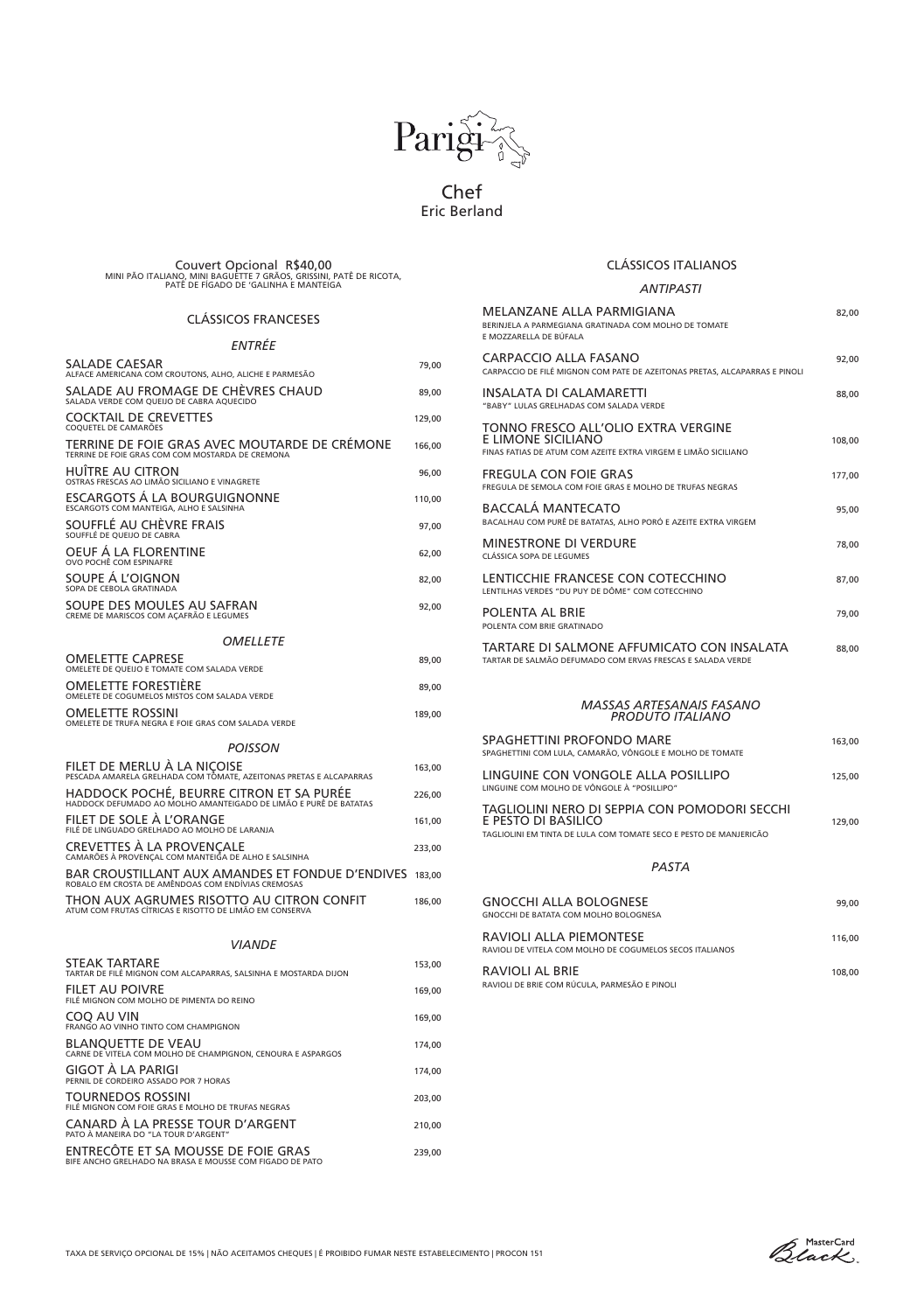# CLÁSSICOS FRANCESES

# *ENTRÉE*

| SALADE CAESAR<br>ALFACE AMERICANA COM CROUTONS, ALHO, ALICHE E PARMESÃO                                       | 79,00  |
|---------------------------------------------------------------------------------------------------------------|--------|
| SALADE AU FROMAGE DE CHÈVRES CHAUD<br>SALADA VERDE COM QUEIJO DE CABRA AQUECIDO                               | 89,00  |
| <b>COCKTAIL DE CREVETTES</b><br>COQUETEL DE CAMARÕES                                                          | 129,00 |
| TERRINE DE FOIE GRAS AVEC MOUTARDE DE CRÉMONE<br>TERRINE DE FOIE GRAS COM COM MOSTARDA DE CREMONA             | 166,00 |
| <b>HUÎTRE AU CITRON</b><br>OSTRAS FRESCAS AO LIMÃO SICILIANO E VINAGRETE                                      | 96,00  |
| <b>ESCARGOTS Á LA BOURGUIGNONNE</b><br>ESCARGOTS COM MANTEIGA, ALHO E SALSINHA                                | 110,00 |
| SOUFFLÉ AU CHÈVRE FRAIS<br>SOUFFLÉ DE QUEIJO DE CABRA                                                         | 97,00  |
| OEUF Á LA FLORENTINE<br>OVO POCHÊ COM ESPINAFRE                                                               | 62,00  |
| SOUPE Á L'OIGNON<br>SOPA DE CEBOLA GRATINADA                                                                  | 82,00  |
| SOUPE DES MOULES AU SAFRAN<br>CREME DE MARISCOS COM AÇAFRÃO E LEGUMES                                         | 92,00  |
| <b>OMELLETE</b>                                                                                               |        |
| <b>OMELETTE CAPRESE</b><br>OMELETE DE QUEIJO E TOMATE COM SALADA VERDE                                        | 89,00  |
| OMELETTE FORESTIÈRE<br>OMELETE DE COGUMELOS MISTOS COM SALADA VERDE                                           | 89,00  |
| <b>OMELETTE ROSSINI</b><br>OMELETE DE TRUFA NEGRA E FOIE GRAS COM SALADA VERDE                                | 189,00 |
| <b>POISSON</b>                                                                                                |        |
| FILET DE MERLU À LA NIÇOISE<br>pescada amarela grelhada com tômate, azeitonas pretas e alcaparras             | 163,00 |
| HADDOCK POCHÉ, BEURRE CITRON ET SA PURÉE<br>HADDOCK DEFUMADO AO MOLHO AMANTEIGADO DE LIMÃO E PURÊ DE BATATAS  | 226,00 |
| FILET DE SOLE À L'ORANGE<br>FILÉ DE LINGUADO GRELHADO AO MOLHO DE LARANJA                                     | 161,00 |
| <b>CREVETTES À LA PROVENÇALE</b><br>camarões à provençal com manteiga de alho e salsinha                      | 233,00 |
| BAR CROUSTILLANT AUX AMANDES ET FONDUE D'ENDIVES 183,00<br>ROBALO EM CROSTA DE AMÊNDOAS COM ENDÍVIAS CREMOSAS |        |
| THON AUX AGRUMES RISOTTO AU CITRON CONFIT<br>ATUM COM FRUTAS CÍTRICAS E RISOTTO DE LIMÃO EM CONSERVA          | 186,00 |
|                                                                                                               |        |

| <b>VIANDE</b>                                                                                   |        |  |
|-------------------------------------------------------------------------------------------------|--------|--|
| <b>STEAK TARTARE</b><br>TARTAR DE FILÉ MIGNON COM ALCAPARRAS, SALSINHA E MOSTARDA DIJON         | 153,00 |  |
| <b>FILET AU POIVRE</b><br>FILÉ MIGNON COM MOLHO DE PIMENTA DO REINO                             | 169,00 |  |
| COO AU VIN<br>FRANGO AO VINHO TINTO COM CHAMPIGNON                                              | 169,00 |  |
| <b>BLANQUETTE DE VEAU</b><br>CARNE DE VITELA COM MOLHO DE CHAMPIGNON, CENOURA E ASPARGOS        | 174,00 |  |
| <b>GIGOT À LA PARIGI</b><br>PERNIL DE CORDEIRO ASSADO POR 7 HORAS                               | 174,00 |  |
| <b>TOURNEDOS ROSSINI</b><br>FILÉ MIGNON COM FOIE GRAS E MOLHO DE TRUFAS NEGRAS                  | 203,00 |  |
| CANARD À LA PRESSE TOUR D'ARGENT<br>PATO À MANEIRA DO "LA TOUR D'ARGENT"                        | 210,00 |  |
| ENTRECÔTE ET SA MOUSSE DE FOIE GRAS<br>BIFE ANCHO GRELHADO NA BRASA E MOUSSE COM FIGADO DE PATO | 239,00 |  |

# CLÁSSICOS ITALIANOS

### *ANTIPASTI*

| MELANZANE ALLA PARMIGIANA<br>BERINJELA A PARMEGIANA GRATINADA COM MOLHO DE TOMATE<br>E MOZZARELLA DE BUFALA                               | 82,00  |
|-------------------------------------------------------------------------------------------------------------------------------------------|--------|
| <b>CARPACCIO ALLA FASANO</b><br>CARPACCIO DE FILÉ MIGNON COM PATE DE AZEITONAS PRETAS, ALCAPARRAS E PINOLI                                | 92,00  |
| <b>INSALATA DI CALAMARETTI</b><br>"BABY" LULAS GRELHADAS COM SALADA VERDE                                                                 | 88,00  |
| TONNO FRESCO ALL'OLIO EXTRA VERGINE<br><b>E LIMONE SICILIANO</b><br>FINAS FATIAS DE ATUM COM AZEITE EXTRA VIRGEM E LIMÃO SICILIANO        | 108,00 |
| <b>FREGULA CON FOIE GRAS</b><br>FREGULA DE SEMOLA COM FOIE GRAS E MOLHO DE TRUFAS NEGRAS                                                  | 177,00 |
| <b>BACCALÁ MANTECATO</b><br>BACALHAU COM PURÊ DE BATATAS, ALHO PORÓ E AZEITE EXTRA VIRGEM                                                 | 95,00  |
| <b>MINESTRONE DI VERDURE</b><br><b>CLÁSSICA SOPA DE LEGUMES</b>                                                                           | 78,00  |
| LENTICCHIE FRANCESE CON COTECCHINO<br>LENTILHAS VERDES "DU PUY DE DÔME" COM COTECCHINO                                                    | 87,00  |
| POLENTA AL BRIE<br>POLENTA COM BRIE GRATINADO                                                                                             | 79,00  |
| TARTARE DI SALMONE AFFUMICATO CON INSALATA<br>TARTAR DE SALMÃO DEFUMADO COM ERVAS FRESCAS E SALADA VERDE                                  | 88,00  |
| <b>MASSAS ARTESANAIS FASANO</b><br><b>PRODUTO ITALIANO</b>                                                                                |        |
| <b>SPAGHETTINI PROFONDO MARE</b><br>SPAGHETTINI COM LULA, CAMARÃO, VÔNGOLE E MOLHO DE TOMATE                                              | 163,00 |
| LINGUINE CON VONGOLE ALLA POSILLIPO<br>LINGUINE COM MOLHO DE VÔNGOLE À "POSILLIPO"                                                        | 125,00 |
| TAGLIOLINI NERO DI SEPPIA CON POMODORI SECCHI<br>E PESTO DI BASILICO<br>TAGLIOLINI EM TINTA DE LULA COM TOMATE SECO E PESTO DE MANJERICÃO | 129,00 |
| <b>PASTA</b>                                                                                                                              |        |
| <b>GNOCCHI ALLA BOLOGNESE</b>                                                                                                             | 99,00  |

GNOCCHI DE BATATA COM MOLHO BOLOGNESA

RAVIOLI DE VITELA COM MOLHO DE COGUMELOS SECOS ITALIANOS

## RAVIOLI AL BRIE 108,00

RAVIOLI DE BRIE COM RÚCULA, PARMESÃO E PINOLI

Black



Chef Eric Berland

Couvert Opcional R\$40,00 MINI PÃO ITALIANO, MINI BAGUETTE 7 GRÃOS, GRISSINI, PATÊ DE RICOTA, PATE DE FIGADO DE 'GALINHA E MANTEIGA

TAXA DE SERVIÇO OPCIONAL DE 15% | NÃO ACEITAMOS CHEQUES | É PROIBIDO FUMAR NESTE ESTABELECIMENTO | PROCON 151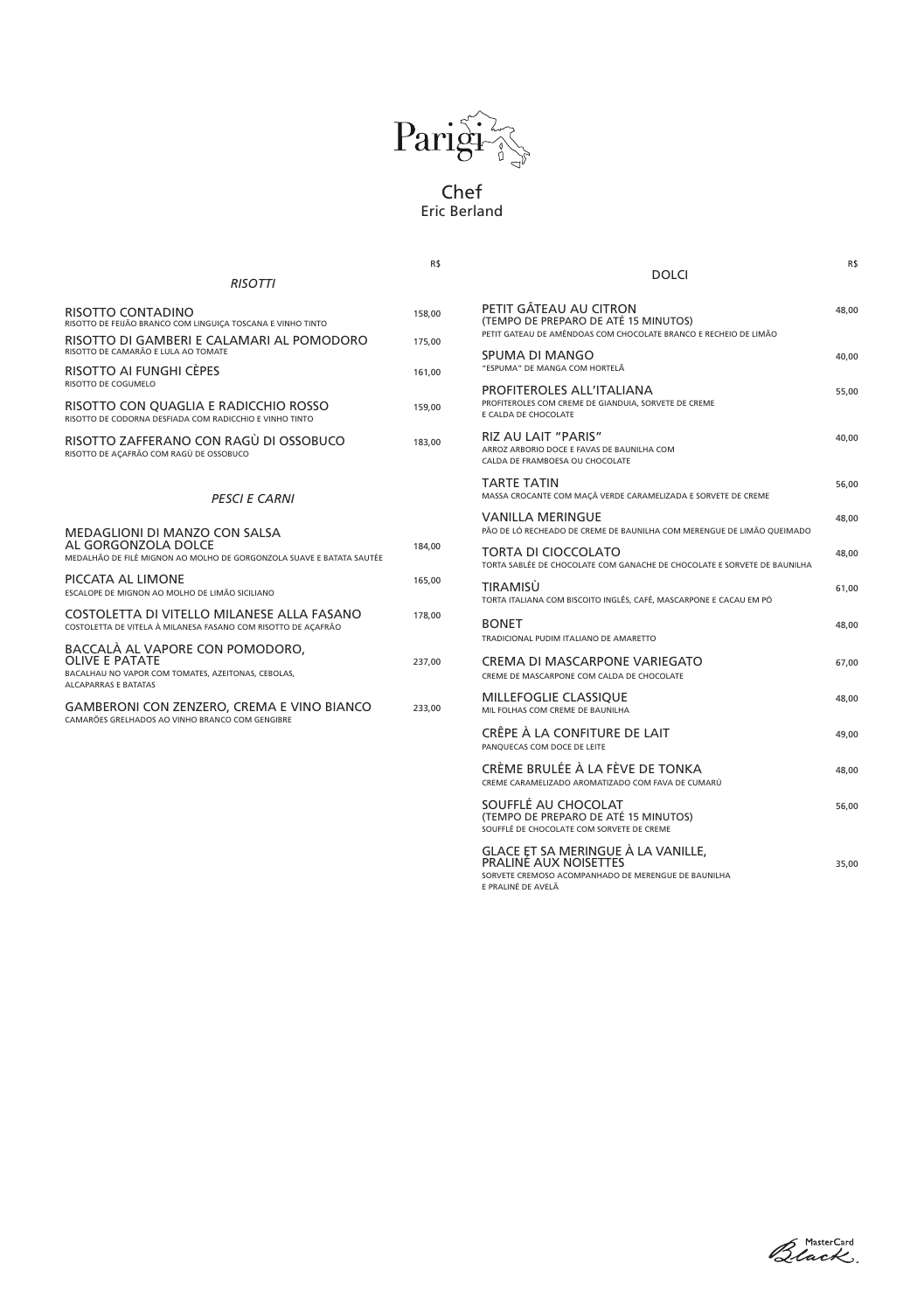|                                                                                                                                               | R\$    |                                                        |
|-----------------------------------------------------------------------------------------------------------------------------------------------|--------|--------------------------------------------------------|
| <b>RISOTTI</b>                                                                                                                                |        |                                                        |
| RISOTTO CONTADINO<br>RISOTTO DE FEIJÃO BRANCO COM LINGUIÇA TOSCANA E VINHO TINTO                                                              | 158,00 | PETIT <sub>G</sub><br><b>(TEMPO)</b><br>PETIT GATE     |
| RISOTTO DI GAMBERI E CALAMARI AL POMODORO<br>RISOTTO DE CAMARÃO E LULA AO TOMATE                                                              | 175,00 | <b>SPUMA</b>                                           |
| RISOTTO AI FUNGHI CÈPES<br>RISOTTO DE COGUMELO                                                                                                | 161,00 | "ESPUMA"<br><b>PROFITI</b>                             |
| RISOTTO CON QUAGLIA E RADICCHIO ROSSO<br>RISOTTO DE CODORNA DESFIADA COM RADICCHIO E VINHO TINTO                                              | 159.00 | <b>PROFITEROI</b><br>E CALDA DE                        |
| RISOTTO ZAFFERANO CON RAGÙ DI OSSOBUCO<br>RISOTTO DE AÇAFRÃO COM RAGÙ DE OSSOBUCO                                                             | 183,00 | <b>RIZ AU</b><br><b>ARROZ ARB</b><br><b>CALDA DE F</b> |
| <b>PESCI E CARNI</b>                                                                                                                          |        | <b>TARTE</b><br><b>MASSA CRC</b>                       |
| <b>MEDAGLIONI DI MANZO CON SALSA</b>                                                                                                          |        | <b>VANILL</b><br>PÃO DE LÓ                             |
| AL GORGONZOLA DOLCE<br>MEDALHÃO DE FILÉ MIGNON AO MOLHO DE GORGONZOLA SUAVE E BATATA SAUTÉE                                                   | 184,00 | <b>TORTA</b><br><b>TORTA SABI</b>                      |
| PICCATA AL LIMONE<br>ESCALOPE DE MIGNON AO MOLHO DE LIMÃO SICILIANO                                                                           | 165,00 | <b>TIRAMI</b><br><b>TORTA ITAL</b>                     |
| COSTOLETTA DI VITELLO MILANESE ALLA FASANO<br>COSTOLETTA DE VITELA À MILANESA FASANO COM RISOTTO DE AÇAFRÃO                                   | 178,00 | <b>BONET</b><br><b>TRADICION</b>                       |
| BACCALÀ AL VAPORE CON POMODORO,<br><b>OLIVE E PATATE</b><br>BACALHAU NO VAPOR COM TOMATES, AZEITONAS, CEBOLAS,<br><b>ALCAPARRAS E BATATAS</b> | 237,00 | <b>CREMA</b><br><b>CREME DE N</b>                      |
| <b>GAMBERONI CON ZENZERO, CREMA E VINO BIANCO</b><br>CAMARÕES GRELHADOS AO VINHO BRANCO COM GENGIBRE                                          | 233,00 | <b>MILLEF</b><br><b>MIL FOLHA!</b>                     |
|                                                                                                                                               |        | <b>CRÊPE</b><br><b>PANOUFCA</b>                        |

| <b>DOLCI</b>                                                                                                                       | R\$   |
|------------------------------------------------------------------------------------------------------------------------------------|-------|
| PETIT GÂTEAU AU CITRON<br>(TEMPO DE PREPARO DE ATÉ 15 MINUTOS)<br>PETIT GATEAU DE AMÊNDOAS COM CHOCOLATE BRANCO E RECHEIO DE LIMÃO | 48,00 |
| <b>SPUMA DI MANGO</b><br>"ESPUMA" DE MANGA COM HORTELÃ                                                                             | 40,00 |
| <b>PROFITEROLES ALL'ITALIANA</b><br>PROFITEROLES COM CREME DE GIANDUIA, SORVETE DE CREME<br>E CALDA DE CHOCOLATE                   | 55,00 |
| <b>RIZ AU LAIT "PARIS"</b><br>ARROZ ARBORIO DOCE E FAVAS DE BAUNILHA COM<br>CALDA DE FRAMBOESA OU CHOCOLATE                        | 40,00 |
| TARTE TATIN<br>MASSA CROCANTE COM MAÇÃ VERDE CARAMELIZADA E SORVETE DE CREME                                                       | 56,00 |
| <b>VANILLA MERINGUE</b><br>PÃO DE LÓ RECHEADO DE CREME DE BAUNILHA COM MERENGUE DE LIMÃO QUEIMADO                                  | 48,00 |
| TORTA DI CIOCCOLATO<br>TORTA SABLÉE DE CHOCOLATE COM GANACHE DE CHOCOLATE E SORVETE DE BAUNILHA                                    | 48,00 |
| TIRAMISÙ<br>TORTA ITALIANA COM BISCOITO INGLÊS, CAFÉ, MASCARPONE E CACAU EM PÓ                                                     | 61,00 |
| <b>BONET</b><br>TRADICIONAL PUDIM ITALIANO DE AMARETTO                                                                             | 48,00 |
| <b>CREMA DI MASCARPONE VARIEGATO</b><br>CREME DE MASCARPONE COM CALDA DE CHOCOLATE                                                 | 67,00 |
| <b>MILLEFOGLIE CLASSIQUE</b><br>MIL FOLHAS COM CREME DE BAUNILHA                                                                   | 48,00 |
| CRÊPE À LA CONFITURE DE LAIT<br>PANQUECAS COM DOCE DE LEITE                                                                        | 49,00 |
| CRÈME BRULÉE À LA FÈVE DE TONKA<br>CREME CARAMELIZADO AROMATIZADO COM FAVA DE CUMARÚ                                               | 48,00 |
| SOUFFLÉ AU CHOCOLAT<br>(TEMPO DE PREPARO DE ATÉ 15 MINUTOS)<br>SOUFFLÉ DE CHOCOLATE COM SORVETE DE CREME                           | 56,00 |
| GLACE ET SA MERINGUE À LA VANILLE,                                                                                                 |       |

PRALINÉ AUX NOISETTES 35,00

SORVETE CREMOSO ACOMPANHADO DE MERENGUE DE BAUNILHA

E PRALINÉ DE AVELÃ





# Chef Eric Berland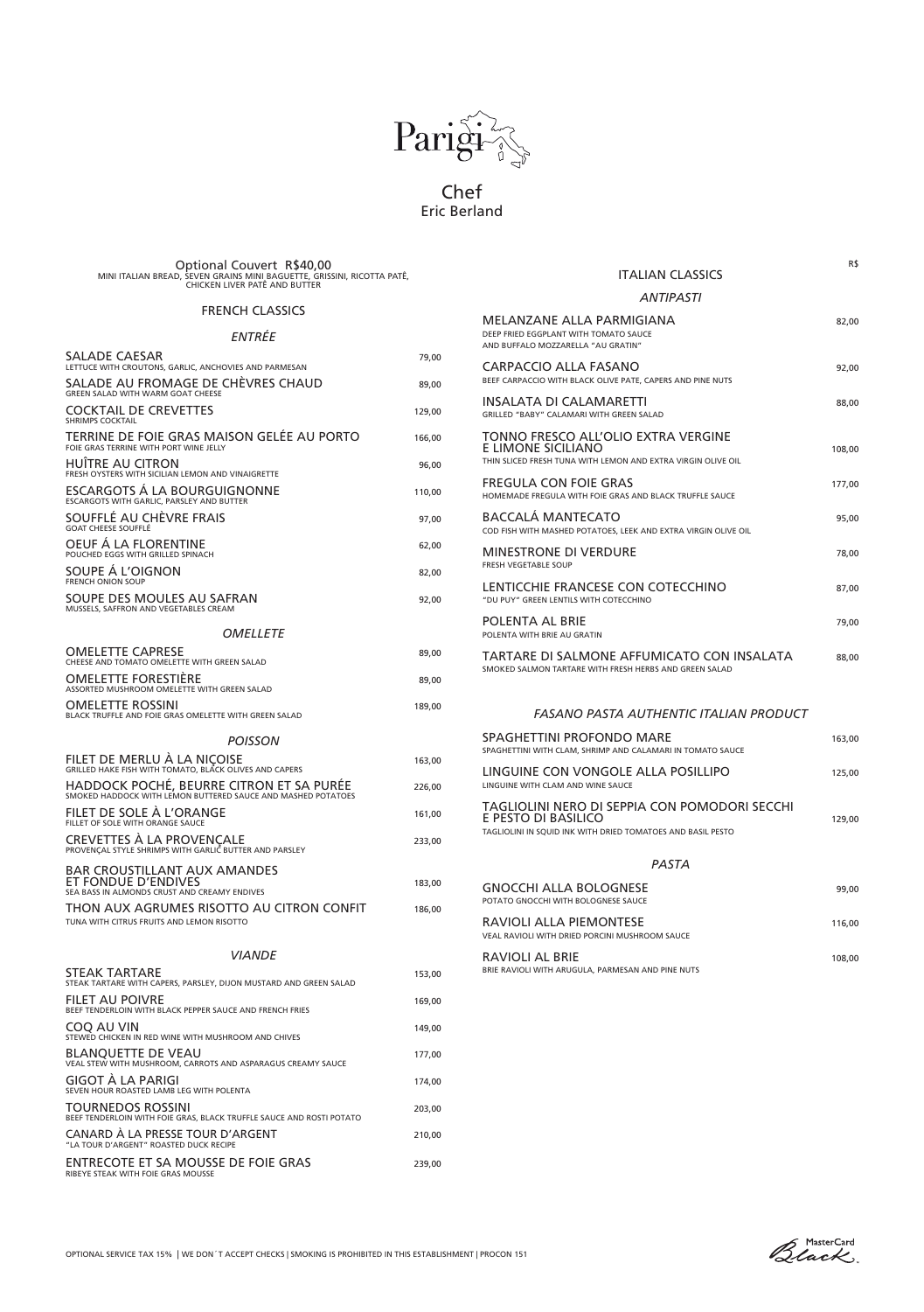

Chef Eric Berland

OPTIONAL SERVICE TAX 15% | WE DON´T ACCEPT CHECKS | SMOKING IS PROHIBITED IN THIS ESTABLISHMENT | PROCON 151

RAVIOLI AL BRIE 108,00

Optional Couvert R\$40,00 MINI ITALIAN BREAD, SEVEN GRAINS MINI BAGUETTE, GRISSINI, RICOTTA PATÊ, CHICKEN LIVER PATÊ AND BUTTER

# FRENCH CLASSICS

# *ENTRÉE*

| <b>SALADE CAESAR</b><br>LETTUCE WITH CROUTONS, GARLIC, ANCHOVIES AND PARMESAN                              | 79,00  |
|------------------------------------------------------------------------------------------------------------|--------|
| SALADE AU FROMAGE DE CHÈVRES CHAUD<br><b>GREEN SALAD WITH WARM GOAT CHEESE</b>                             | 89,00  |
| <b>COCKTAIL DE CREVETTES</b><br><b>SHRIMPS COCKTAIL</b>                                                    | 129,00 |
| TERRINE DE FOIE GRAS MAISON GELÉE AU PORTO<br>FOIE GRAS TERRINE WITH PORT WINE JELLY                       | 166,00 |
| <b>HUÎTRE AU CITRON</b><br>FRESH OYSTERS WITH SICILIAN LEMON AND VINAIGRETTE                               | 96,00  |
| ESCARGOTS Á LA BOURGUIGNONNE<br>ESCARGOTS WITH GARLIC, PARSLEY AND BUTTER                                  | 110,00 |
| SOUFFLÉ AU CHÈVRE FRAIS<br><b>GOAT CHEESE SOUFFLÉ</b>                                                      | 97,00  |
| OEUF A LA FLORENTINE<br>POUCHED EGGS WITH GRILLED SPINACH                                                  | 62,00  |
| SOUPE Á L'OIGNON<br>FRENCH ONION SOUP                                                                      | 82,00  |
| SOUPE DES MOULES AU SAFRAN<br>MUSSELS, SAFFRON AND VEGETABLES CREAM                                        | 92,00  |
| OMELLETE                                                                                                   |        |
| <b>OMELETTE CAPRESE</b><br>CHEESE AND TOMATO OMELETTE WITH GREEN SALAD                                     | 89,00  |
| <b>OMELETTE FORESTIÈRE</b><br>ASSORTED MUSHROOM OMELETTE WITH GREEN SALAD                                  | 89,00  |
| <b>OMELETTE ROSSINI</b><br>BLACK TRUFFLE AND FOIE GRAS OMELETTE WITH GREEN SALAD                           | 189,00 |
| <b>POISSON</b>                                                                                             |        |
| FILET DE MERLU À LA NIÇOISE<br>GRILLED HAKE FISH WITH TOMATO, BLACK OLIVES AND CAPERS                      | 163,00 |
| HADDOCK POCHÉ, BEURRE CITRON ET SA PURÉE<br>SMOKED HADDOCK WITH LEMON BUTTERED SAUCE AND MASHED POTATOES   | 226,00 |
| FILET DE SOLE À L'ORANGE<br>FILLET OF SOLE WITH ORANGE SAUCE                                               | 161,00 |
| <b>CREVETTES À LA PROVENÇALE</b><br>PROVENÇAL STYLE SHRIMPS WITH GARLIC BUTTER AND PARSLEY                 | 233,00 |
| <b>BAR CROUSTILLANT AUX AMANDES</b><br>ET FONDUE D'ENDIVES<br>SEA BASS IN ALMONDS CRUST AND CREAMY ENDIVES | 183,00 |
| THON AUX AGRUMES RISOTTO AU CITRON CONFIT<br>TUNA WITH CITRUS FRUITS AND LEMON RISOTTO                     | 186,00 |

### *VIANDE*

RAVIOLI ALLA PIEMONTESE 116,00 VEAL RAVIOLI WITH DRIED PORCINI MUSHROOM SAUCE

| <b>STEAK TARTARE</b><br>STEAK TARTARE WITH CAPERS, PARSLEY, DIJON MUSTARD AND GREEN SALAD        | 153,00 |
|--------------------------------------------------------------------------------------------------|--------|
| <b>FILET AU POIVRE</b><br>BEEF TENDERLOIN WITH BLACK PEPPER SAUCE AND FRENCH FRIES               | 169,00 |
| <b>COO AU VIN</b><br>STEWED CHICKEN IN RED WINE WITH MUSHROOM AND CHIVES                         | 149,00 |
| <b>BLANQUETTE DE VEAU</b><br>VEAL STEW WITH MUSHROOM, CARROTS AND ASPARAGUS CREAMY SAUCE         | 177,00 |
| <b>GIGOT À LA PARIGI</b><br>SEVEN HOUR ROASTED LAMB LEG WITH POLENTA                             | 174.00 |
| <b>TOURNEDOS ROSSINI</b><br>BEEF TENDERLOIN WITH FOIE GRAS, BLACK TRUFFLE SAUCE AND ROSTI POTATO | 203,00 |
| CANARD À LA PRESSE TOUR D'ARGENT<br>"LA TOUR D'ARGENT" ROASTED DUCK RECIPE                       | 210,00 |
| <b>ENTRECOTE ET SA MOUSSE DE FOIE GRAS</b><br>RIBEYE STEAK WITH FOIE GRAS MOUSSE                 | 239,00 |

R\$

### ITALIAN CLASSICS

### *ANTIPASTI*

| MELANZANE ALLA PARMIGIANA<br>DEEP FRIED EGGPLANT WITH TOMATO SAUCE<br>AND BUFFALO MOZZARELLA "AU GRATIN"                            | 82,00  |
|-------------------------------------------------------------------------------------------------------------------------------------|--------|
| <b>CARPACCIO ALLA FASANO</b><br>BEEF CARPACCIO WITH BLACK OLIVE PATE, CAPERS AND PINE NUTS                                          | 92,00  |
| <b>INSALATA DI CALAMARETTI</b><br><b>GRILLED "BABY" CALAMARI WITH GREEN SALAD</b>                                                   | 88,00  |
| TONNO FRESCO ALL'OLIO EXTRA VERGINE<br><b>E LIMONE SICILIANO</b><br>THIN SLICED FRESH TUNA WITH LEMON AND EXTRA VIRGIN OLIVE OIL    | 108,00 |
| <b>FREGULA CON FOIE GRAS</b><br>HOMEMADE FREGULA WITH FOIE GRAS AND BLACK TRUFFLE SAUCE                                             | 177,00 |
| <b>BACCALÁ MANTECATO</b><br>COD FISH WITH MASHED POTATOES, LEEK AND EXTRA VIRGIN OLIVE OIL                                          | 95,00  |
| <b>MINESTRONE DI VERDURE</b><br><b>FRESH VEGETABLE SOUP</b>                                                                         | 78,00  |
| LENTICCHIE FRANCESE CON COTECCHINO<br>"DU PUY" GREEN LENTILS WITH COTECCHINO                                                        | 87,00  |
| <b>POLENTA AL BRIE</b><br>POLENTA WITH BRIE AU GRATIN                                                                               | 79,00  |
| TARTARE DI SALMONE AFFUMICATO CON INSALATA<br>SMOKED SALMON TARTARE WITH FRESH HERBS AND GREEN SALAD                                | 88,00  |
| <b>FASANO PASTA AUTHENTIC ITALIAN PRODUCT</b>                                                                                       |        |
| <b>SPAGHETTINI PROFONDO MARE</b><br>SPAGHETTINI WITH CLAM, SHRIMP AND CALAMARI IN TOMATO SAUCE                                      | 163,00 |
| LINGUINE CON VONGOLE ALLA POSILLIPO<br>LINGUINE WITH CLAM AND WINE SAUCE                                                            | 125,00 |
| TAGLIOLINI NERO DI SEPPIA CON POMODORI SECCHI<br>E PESTO DI BASILICO<br>TAGLIOLINI IN SQUID INK WITH DRIED TOMATOES AND BASIL PESTO | 129,00 |
| <b>PASTA</b>                                                                                                                        |        |
| <b>GNOCCHI ALLA BOLOGNESE</b><br>POTATO GNOCCHI WITH BOLOGNESE SAUCE                                                                | 99,00  |

BRIE RAVIOLI WITH ARUGULA, PARMESAN AND PINE NUTS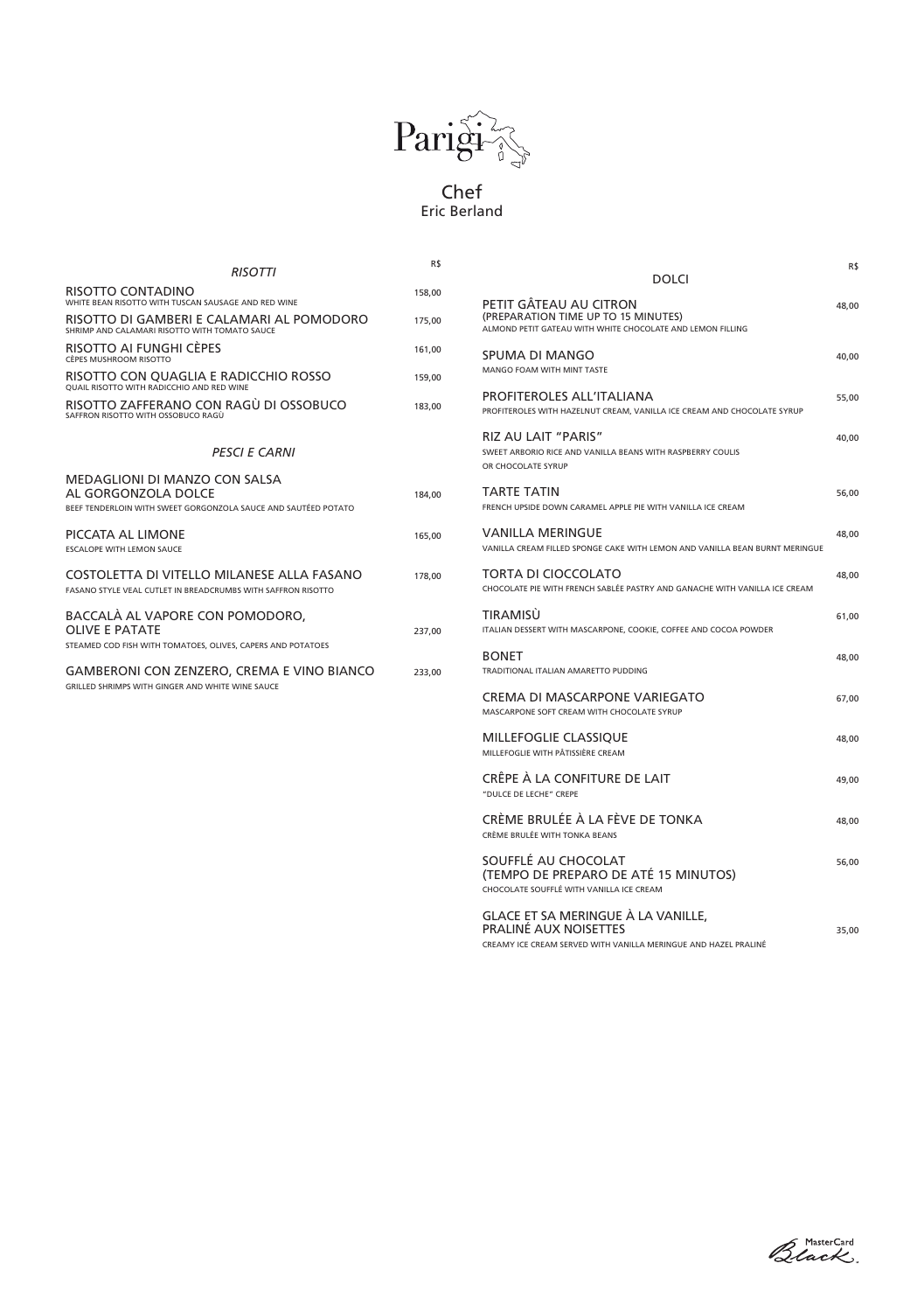

# Chef Eric Berland

| <b>RISOTTI</b>                                                                                                                | R\$    | <b>DOLCI</b>                                                                                                                           | R\$   |
|-------------------------------------------------------------------------------------------------------------------------------|--------|----------------------------------------------------------------------------------------------------------------------------------------|-------|
| <b>RISOTTO CONTADINO</b><br>WHITE BEAN RISOTTO WITH TUSCAN SAUSAGE AND RED WINE                                               | 158,00 |                                                                                                                                        |       |
| RISOTTO DI GAMBERI E CALAMARI AL POMODORO<br>SHRIMP AND CALAMARI RISOTTO WITH TOMATO SAUCE                                    | 175,00 | PETIT GÂTEAU AU CITRON<br>(PREPARATION TIME UP TO 15 MINUTES)<br>ALMOND PETIT GATEAU WITH WHITE CHOCOLATE AND LEMON FILLING            | 48,00 |
| RISOTTO AI FUNGHI CÈPES<br><b>CÈPES MUSHROOM RISOTTO</b>                                                                      | 161,00 | <b>SPUMA DI MANGO</b>                                                                                                                  | 40,00 |
| RISOTTO CON QUAGLIA E RADICCHIO ROSSO<br><b>OUAIL RISOTTO WITH RADICCHIO AND RED WINE</b>                                     | 159,00 | MANGO FOAM WITH MINT TASTE                                                                                                             |       |
| RISOTTO ZAFFERANO CON RAGÙ DI OSSOBUCO<br>SAFFRON RISOTTO WITH OSSOBUCO RAGÙ                                                  | 183,00 | <b>PROFITEROLES ALL'ITALIANA</b><br>PROFITEROLES WITH HAZELNUT CREAM, VANILLA ICE CREAM AND CHOCOLATE SYRUP                            | 55,00 |
| <b>PESCI E CARNI</b>                                                                                                          |        | <b>RIZ AU LAIT "PARIS"</b><br>SWEET ARBORIO RICE AND VANILLA BEANS WITH RASPBERRY COULIS<br>OR CHOCOLATE SYRUP                         | 40,00 |
| <b>MEDAGLIONI DI MANZO CON SALSA</b><br>AL GORGONZOLA DOLCE<br>BEEF TENDERLOIN WITH SWEET GORGONZOLA SAUCE AND SAUTÉED POTATO | 184,00 | <b>TARTE TATIN</b><br>FRENCH UPSIDE DOWN CARAMEL APPLE PIE WITH VANILLA ICE CREAM                                                      | 56,00 |
| PICCATA AL LIMONE<br><b>ESCALOPE WITH LEMON SAUCE</b>                                                                         | 165,00 | <b>VANILLA MERINGUE</b><br>VANILLA CREAM FILLED SPONGE CAKE WITH LEMON AND VANILLA BEAN BURNT MERINGUE                                 | 48,00 |
| COSTOLETTA DI VITELLO MILANESE ALLA FASANO<br>FASANO STYLE VEAL CUTLET IN BREADCRUMBS WITH SAFFRON RISOTTO                    | 178,00 | <b>TORTA DI CIOCCOLATO</b><br>CHOCOLATE PIE WITH FRENCH SABLÉE PASTRY AND GANACHE WITH VANILLA ICE CREAM                               | 48,00 |
| BACCALÀ AL VAPORE CON POMODORO,<br><b>OLIVE E PATATE</b>                                                                      | 237,00 | <b>TIRAMISÙ</b><br>ITALIAN DESSERT WITH MASCARPONE, COOKIE, COFFEE AND COCOA POWDER                                                    | 61,00 |
| STEAMED COD FISH WITH TOMATOES, OLIVES, CAPERS AND POTATOES<br><b>GAMBERONI CON ZENZERO, CREMA E VINO BIANCO</b>              | 233,00 | <b>BONET</b><br>TRADITIONAL ITALIAN AMARETTO PUDDING                                                                                   | 48,00 |
| GRILLED SHRIMPS WITH GINGER AND WHITE WINE SAUCE                                                                              |        | <b>CREMA DI MASCARPONE VARIEGATO</b><br>MASCARPONE SOFT CREAM WITH CHOCOLATE SYRUP                                                     | 67,00 |
|                                                                                                                               |        | <b>MILLEFOGLIE CLASSIQUE</b><br>MILLEFOGLIE WITH PÂTISSIÈRE CREAM                                                                      | 48,00 |
|                                                                                                                               |        | CRÊPE À LA CONFITURE DE LAIT<br>"DULCE DE LECHE" CREPE                                                                                 | 49,00 |
|                                                                                                                               |        | CRÈME BRULÉE À LA FÈVE DE TONKA<br>CRÈME BRULÉE WITH TONKA BEANS                                                                       | 48,00 |
|                                                                                                                               |        | SOUFFLÉ AU CHOCOLAT<br>(TEMPO DE PREPARO DE ATÉ 15 MINUTOS)<br>CHOCOLATE SOUFFLÉ WITH VANILLA ICE CREAM                                | 56,00 |
|                                                                                                                               |        | GLACE ET SA MERINGUE À LA VANILLE,<br><b>PRALINÉ AUX NOISETTES</b><br>CREAMY ICE CREAM SERVED WITH VANILLA MERINGLIE AND HAZEL PRALINÉ | 35,00 |

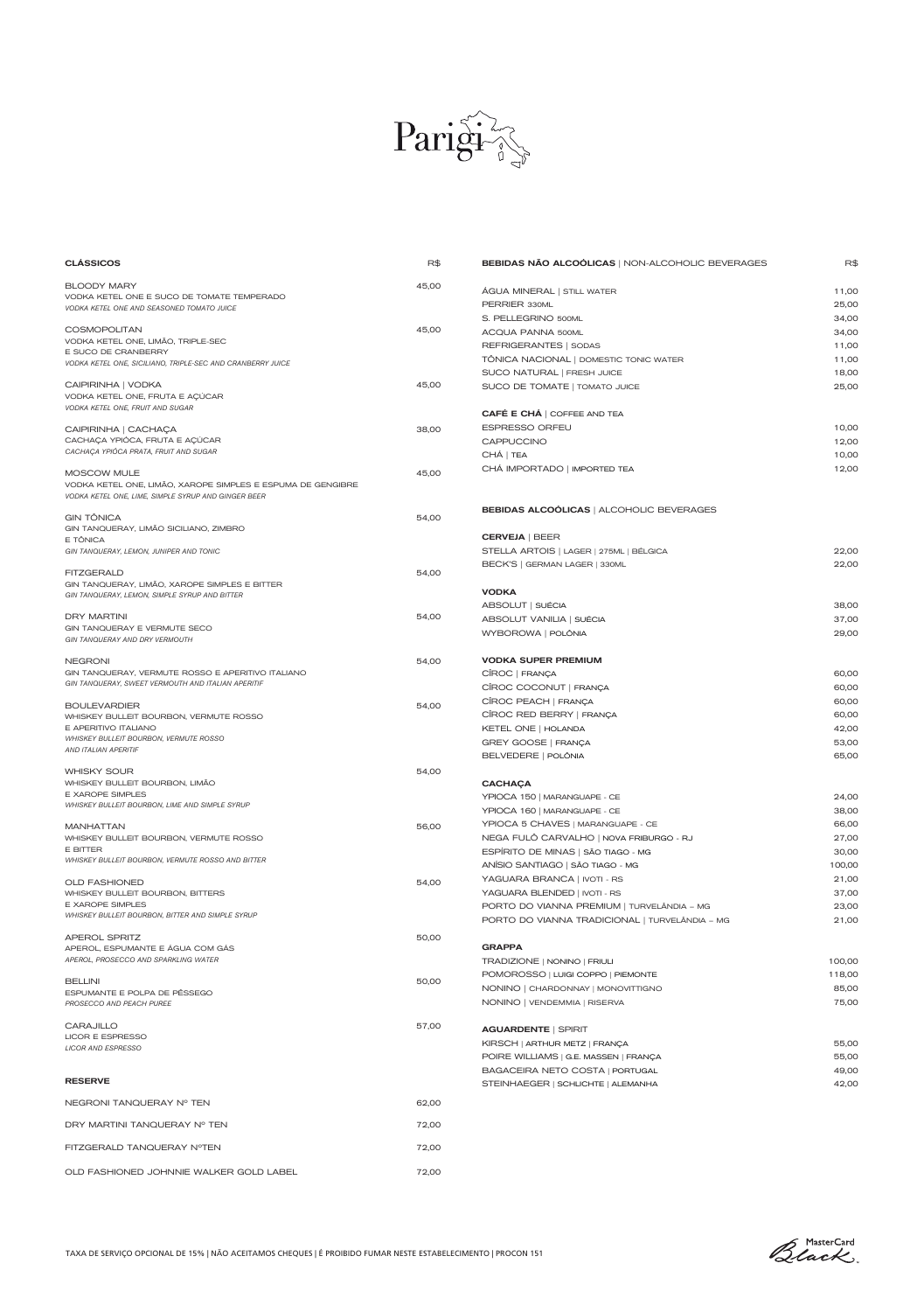TAXA DE SERVIÇO OPCIONAL DE 15% | NÃO ACEITAMOS CHEQUES | É PROIBIDO FUMAR NESTE ESTABELECIMENTO | PROCON 151



| <b>CLÁSSICOS</b>                                                         | R\$   | <b>BEBIDAS NÃO ALCOÓLICAS   NON-ALCOHOLIC BEVERAGES</b>                    | R\$             |
|--------------------------------------------------------------------------|-------|----------------------------------------------------------------------------|-----------------|
| <b>BLOODY MARY</b>                                                       | 45,00 |                                                                            |                 |
| VODKA KETEL ONE E SUCO DE TOMATE TEMPERADO                               |       | ÁGUA MINERAL   STILL WATER                                                 | 11,00           |
| VODKA KETEL ONE AND SEASONED TOMATO JUICE                                |       | PERRIER 330ML                                                              | 25,00           |
|                                                                          |       | S. PELLEGRINO 500ML                                                        | 34,00           |
| <b>COSMOPOLITAN</b><br>VODKA KETEL ONE, LIMÃO, TRIPLE-SEC                | 45,00 | <b>ACQUA PANNA 500ML</b>                                                   | 34,00           |
| E SUCO DE CRANBERRY                                                      |       | REFRIGERANTES   SODAS                                                      | 11,00           |
| VODKA KETEL ONE, SICILIANO, TRIPLE-SEC AND CRANBERRY JUICE               |       | TÔNICA NACIONAL   DOMESTIC TONIC WATER                                     | 11,00           |
|                                                                          |       | SUCO NATURAL   FRESH JUICE                                                 | 18,00           |
| CAIPIRINHA   VODKA<br>VODKA KETEL ONE, FRUTA E AÇÚCAR                    | 45,00 | SUCO DE TOMATE   TOMATO JUICE                                              | 25,00           |
| VODKA KETEL ONE, FRUIT AND SUGAR                                         |       |                                                                            |                 |
|                                                                          |       | <b>CAFÉ E CHÁ   COFFEE AND TEA</b>                                         |                 |
| CAIPIRINHA   CACHAÇA                                                     | 38,00 | <b>ESPRESSO ORFEU</b>                                                      | 10,00           |
| CACHAÇA YPIÓCA, FRUTA E AÇÚCAR<br>CACHAÇA YPIÓCA PRATA, FRUIT AND SUGAR  |       | CAPPUCCINO                                                                 | 12,00           |
|                                                                          |       | CHÁ   TEA                                                                  | 10,00           |
| <b>MOSCOW MULE</b>                                                       | 45,00 | CHÁ IMPORTADO   IMPORTED TEA                                               | 12,00           |
| VODKA KETEL ONE, LIMÃO, XAROPE SIMPLES E ESPUMA DE GENGIBRE              |       |                                                                            |                 |
| VODKA KETEL ONE, LIME, SIMPLE SYRUP AND GINGER BEER                      |       |                                                                            |                 |
| <b>GIN TÔNICA</b>                                                        | 54,00 | <b>BEBIDAS ALCOÓLICAS   ALCOHOLIC BEVERAGES</b>                            |                 |
| GIN TANQUERAY, LIMÃO SICILIANO, ZIMBRO                                   |       |                                                                            |                 |
| E TÔNICA                                                                 |       | <b>CERVEJA   BEER</b>                                                      |                 |
| GIN TANQUERAY, LEMON, JUNIPER AND TONIC                                  |       | STELLA ARTOIS   LAGER   275ML   BÉLGICA                                    | 22,00           |
| <b>FITZGERALD</b>                                                        | 54,00 | BECK'S   GERMAN LAGER   330ML                                              | 22,00           |
| GIN TANQUERAY, LIMÃO, XAROPE SIMPLES E BITTER                            |       |                                                                            |                 |
| GIN TANQUERAY, LEMON, SIMPLE SYRUP AND BITTER                            |       | <b>VODKA</b>                                                               |                 |
| <b>DRY MARTINI</b>                                                       | 54,00 | ABSOLUT   SUÉCIA                                                           | 38,00           |
| GIN TANQUERAY E VERMUTE SECO                                             |       | ABSOLUT VANILIA   SUÉCIA                                                   | 37,00           |
| GIN TANQUERAY AND DRY VERMOUTH                                           |       | WYBOROWA   POLÔNIA                                                         | 29,00           |
|                                                                          |       |                                                                            |                 |
| <b>NEGRONI</b><br>GIN TANQUERAY, VERMUTE ROSSO E APERITIVO ITALIANO      | 54,00 | <b>VODKA SUPER PREMIUM</b>                                                 |                 |
| GIN TANQUERAY, SWEET VERMOUTH AND ITALIAN APERITIF                       |       | CÎROC   FRANÇA                                                             | 60,00           |
|                                                                          |       | CÎROC COCONUT   FRANÇA                                                     | 60,00           |
| <b>BOULEVARDIER</b>                                                      | 54,00 | CÎROC PEACH   FRANÇA                                                       | 60,00           |
| WHISKEY BULLEIT BOURBON, VERMUTE ROSSO                                   |       | CÎROC RED BERRY   FRANÇA                                                   | 60,00           |
| E APERITIVO ITALIANO<br><b>WHISKEY BULLEIT BOURBON, VERMUTE ROSSO</b>    |       | KETEL ONE   HOLANDA                                                        | 42,00           |
| AND ITALIAN APERITIF                                                     |       | <b>GREY GOOSE   FRANÇA</b>                                                 | 53,00           |
|                                                                          |       | BELVEDERE   POLÔNIA                                                        | 65,00           |
| <b>WHISKY SOUR</b>                                                       | 54,00 |                                                                            |                 |
| WHISKEY BULLEIT BOURBON, LIMÃO<br>E XAROPE SIMPLES                       |       | <b>CACHACA</b>                                                             |                 |
| WHISKEY BULLEIT BOURBON, LIME AND SIMPLE SYRUP                           |       | YPIOCA 150   MARANGUAPE - CE                                               | 24,00           |
|                                                                          |       | YPIOCA 160   MARANGUAPE - CE                                               | 38,00           |
| <b>MANHATTAN</b>                                                         | 56,00 | YPIOCA 5 CHAVES   MARANGUAPE - CE                                          | 66,00           |
| WHISKEY BULLEIT BOURBON, VERMUTE ROSSO<br>E BITTER                       |       | NEGA FULÕ CARVALHO   NOVA FRIBURGO - RJ                                    | 27,00           |
| WHISKEY BULLEIT BOURBON, VERMUTE ROSSO AND BITTER                        |       | ESPÍRITO DE MINAS   SÃO TIAGO - MG                                         | 30,00           |
|                                                                          |       | ANÍSIO SANTIAGO   SÃO TIAGO - MG                                           | 100,00          |
| <b>OLD FASHIONED</b>                                                     | 54,00 | YAGUARA BRANCA   IVOTI - RS                                                | 21,00<br>37,00  |
| WHISKEY BULLEIT BOURBON, BITTERS<br>E XAROPE SIMPLES                     |       | YAGUARA BLENDED   IVOTI - RS<br>PORTO DO VIANNA PREMIUM   TURVELÂNDIA - MG | 23,00           |
| WHISKEY BULLEIT BOURBON, BITTER AND SIMPLE SYRUP                         |       | PORTO DO VIANNA TRADICIONAL   TURVELÂNDIA - MG                             | 21,00           |
|                                                                          |       |                                                                            |                 |
| <b>APEROL SPRITZ</b>                                                     | 50,00 | <b>GRAPPA</b>                                                              |                 |
| APEROL, ESPUMANTE E ÁGUA COM GÁS<br>APEROL, PROSECCO AND SPARKLING WATER |       |                                                                            | 100,00          |
|                                                                          |       | TRADIZIONE   NONINO   FRIULI                                               |                 |
| <b>BELLINI</b>                                                           | 50,00 | POMOROSSO   LUIGI COPPO   PIEMONTE<br>NONINO   CHARDONNAY   MONOVITTIGNO   | 118,00<br>85,00 |
| ESPUMANTE E POLPA DE PÊSSEGO                                             |       | NONINO   VENDEMMIA   RISERVA                                               | 75,00           |
| PROSECCO AND PEACH PUREE                                                 |       |                                                                            |                 |
| <b>CARAJILLO</b>                                                         | 57,00 | <b>AGUARDENTE   SPIRIT</b>                                                 |                 |
| LICOR E ESPRESSO                                                         |       |                                                                            |                 |
| <b>LICOR AND ESPRESSO</b>                                                |       | KIRSCH   ARTHUR METZ   FRANÇA                                              | 55,00<br>55,00  |
|                                                                          |       | POIRE WILLIAMS   G.E. MASSEN   FRANÇA<br>BAGACEIRA NETO COSTA   PORTUGAL   | 49,00           |
| <b>RESERVE</b>                                                           |       |                                                                            | 42,00           |
|                                                                          |       | STEINHAEGER   SCHLICHTE   ALEMANHA                                         |                 |
| NEGRONI TANQUERAY Nº TEN                                                 | 62,00 |                                                                            |                 |
| DRY MARTINI TANQUERAY Nº TEN                                             | 72,00 |                                                                            |                 |
|                                                                          |       |                                                                            |                 |
| FITZGERALD TANQUERAY NºTEN                                               | 72,00 |                                                                            |                 |
|                                                                          |       |                                                                            |                 |
| OLD FASHIONED JOHNNIE WALKER GOLD LABEL                                  | 72,00 |                                                                            |                 |

Black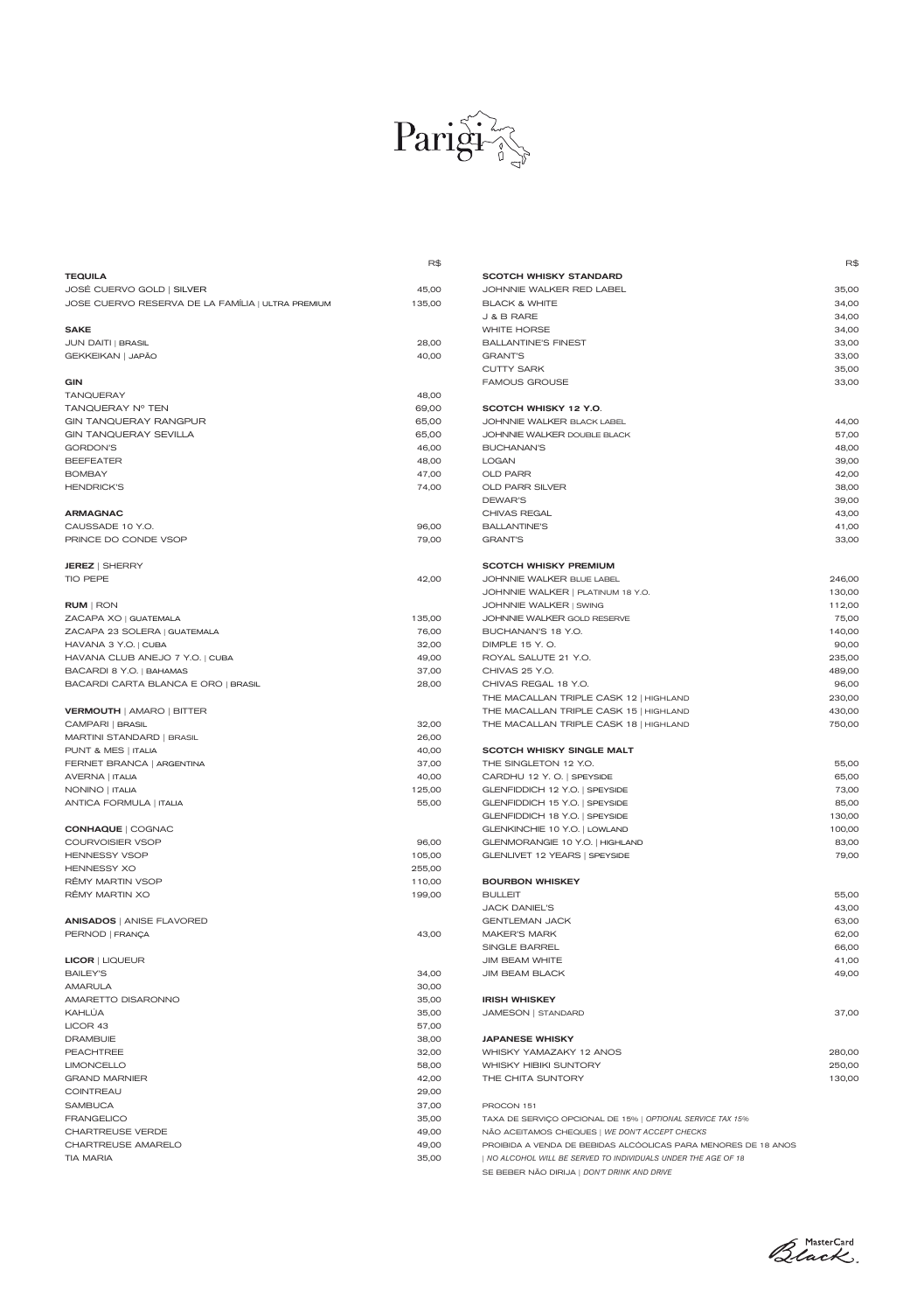

|                                                   | R\$    |                                        | R      |
|---------------------------------------------------|--------|----------------------------------------|--------|
| <b>TEQUILA</b>                                    |        | <b>SCOTCH WHISKY STANDARD</b>          |        |
| JOSÉ CUERVO GOLD   SILVER                         | 45,00  | JOHNNIE WALKER RED LABEL               | 35,00  |
| JOSE CUERVO RESERVA DE LA FAMÍLIA   ULTRA PREMIUM | 135,00 | <b>BLACK &amp; WHITE</b>               | 34,00  |
|                                                   |        | J & B RARE                             | 34,00  |
| <b>SAKE</b>                                       |        | <b>WHITE HORSE</b>                     | 34,00  |
| <b>JUN DAITI   BRASIL</b>                         | 28,00  | <b>BALLANTINE'S FINEST</b>             | 33,00  |
| GEKKEIKAN   JAPÃO                                 | 40,00  | <b>GRANT'S</b>                         | 33,00  |
|                                                   |        | <b>CUTTY SARK</b>                      | 35,00  |
| <b>GIN</b>                                        |        | <b>FAMOUS GROUSE</b>                   | 33,00  |
| <b>TANQUERAY</b>                                  | 48,00  |                                        |        |
| TANQUERAY Nº TEN                                  | 69,00  | SCOTCH WHISKY 12 Y.O.                  |        |
| <b>GIN TANQUERAY RANGPUR</b>                      | 65,00  | JOHNNIE WALKER BLACK LABEL             | 44,00  |
| <b>GIN TANQUERAY SEVILLA</b>                      | 65,00  | JOHNNIE WALKER DOUBLE BLACK            | 57,00  |
| <b>GORDON'S</b>                                   | 46,00  | <b>BUCHANAN'S</b>                      | 48,00  |
| <b>BEEFEATER</b>                                  | 48,00  | <b>LOGAN</b>                           | 39,00  |
| <b>BOMBAY</b>                                     | 47,00  | <b>OLD PARR</b>                        | 42,00  |
| <b>HENDRICK'S</b>                                 | 74,00  | OLD PARR SILVER                        | 38,00  |
|                                                   |        | DEWAR'S                                | 39,00  |
| <b>ARMAGNAC</b>                                   |        | CHIVAS REGAL                           | 43,00  |
| CAUSSADE 10 Y.O.                                  | 96,00  | <b>BALLANTINE'S</b>                    | 41,00  |
| PRINCE DO CONDE VSOP                              | 79,00  | <b>GRANT'S</b>                         | 33,00  |
|                                                   |        |                                        |        |
| <b>JEREZ   SHERRY</b>                             |        | <b>SCOTCH WHISKY PREMIUM</b>           |        |
| TIO PEPE                                          | 42,00  | JOHNNIE WALKER BLUE LABEL              | 246,00 |
|                                                   |        | JOHNNIE WALKER   PLATINUM 18 Y.O.      | 130,00 |
| <b>RUM</b>   RON                                  |        | JOHNNIE WALKER   SWING                 | 112,00 |
| ZACAPA XO   GUATEMALA                             | 135,00 | JOHNNIE WALKER GOLD RESERVE            | 75,00  |
| ZACAPA 23 SOLERA   GUATEMALA                      | 76,00  | BUCHANAN'S 18 Y.O.                     | 140,00 |
| HAVANA 3 Y.O.   CUBA                              | 32,00  | DIMPLE 15 Y.O.                         | 90,00  |
| HAVANA CLUB ANEJO 7 Y.O.   CUBA                   | 49,00  | ROYAL SALUTE 21 Y.O.                   | 235,00 |
| BACARDI 8 Y.O.   BAHAMAS                          | 37,00  | CHIVAS 25 Y.O.                         | 489,00 |
| BACARDI CARTA BLANCA E ORO   BRASIL               | 28,00  | CHIVAS REGAL 18 Y.O.                   | 96,00  |
|                                                   |        | THE MACALLAN TRIPLE CASK 12   HIGHLAND | 230,00 |
| <b>VERMOUTH   AMARO   BITTER</b>                  |        | THE MACALLAN TRIPLE CASK 15   HIGHLAND | 430,00 |
| CAMPARI   BRASIL                                  | 32,00  | THE MACALLAN TRIPLE CASK 18   HIGHLAND | 750,00 |
| MARTINI STANDARD   BRASIL                         | 26,00  |                                        |        |
| PUNT & MES   ITALIA                               | 40,00  | <b>SCOTCH WHISKY SINGLE MALT</b>       |        |
| FERNET BRANCA   ARGENTINA                         | 37,00  | THE SINGLETON 12 Y.O.                  | 55,00  |
| AVERNA   ITALIA                                   | 40,00  | CARDHU 12 Y.O. SPEYSIDE                | 65,00  |
| NONINO   ITALIA                                   | 125,00 | GLENFIDDICH 12 Y.O.   SPEYSIDE         | 73,00  |
| ANTICA FORMULA   ITALIA                           | 55,00  | GLENFIDDICH 15 Y.O.   SPEYSIDE         | 85,00  |
|                                                   |        | GLENFIDDICH 18 Y.O.   SPEYSIDE         | 130,00 |
| <b>CONHAQUE   COGNAC</b>                          |        | GLENKINCHIE 10 Y.O.   LOWLAND          | 100,00 |
| <b>COURVOISIER VSOP</b>                           | 96,00  | GLENMORANGIE 10 Y.O.   HIGHLAND        | 83,00  |
| <b>HENNESSY VSOP</b>                              | 105,00 | GLENLIVET 12 YEARS   SPEYSIDE          | 79,00  |
| <b>HENNESSY XO</b>                                | 255,00 |                                        |        |
| RÊMY MARTIN VSOP                                  | 110,00 | <b>BOURBON WHISKEY</b>                 |        |
| RÊMY MARTIN XO                                    | 199,00 | <b>BULLEIT</b>                         | 55,00  |
|                                                   |        | JACK DANIEL'S                          | 43,00  |
| <b>ANISADOS   ANISE FLAVORED</b>                  |        | <b>GENTLEMAN JACK</b>                  | 63,00  |
| PERNOD   FRANÇA                                   | 43,00  | MAKER'S MARK                           | 62,00  |

|                                        | R\$    |
|----------------------------------------|--------|
| SCOTCH WHISKY STANDARD                 |        |
| JOHNNIE WALKER RED LABEL               | 35,00  |
| BLACK & WHITE                          | 34,00  |
| J & B RARE                             | 34,00  |
| WHITE HORSE                            | 34,00  |
| <b>BALLANTINE'S FINEST</b>             | 33,00  |
| GRANT'S                                | 33,00  |
| <b>CUTTY SARK</b>                      | 35,00  |
| <b>FAMOUS GROUSE</b>                   | 33,00  |
| SCOTCH WHISKY 12 Y.O.                  |        |
| JOHNNIE WALKER BLACK LABEL             | 44,00  |
| JOHNNIE WALKER DOUBLE BLACK            | 57,00  |
| BUCHANAN'S                             | 48,00  |
| LOGAN                                  | 39,00  |
| OLD PARR                               | 42,00  |
| OLD PARR SILVER                        | 38,00  |
| DEWAR'S                                | 39,00  |
| CHIVAS REGAL                           | 43,00  |
| BALLANTINE'S                           | 41,00  |
| <b>GRANT'S</b>                         | 33,00  |
| SCOTCH WHISKY PREMIUM                  |        |
| JOHNNIE WALKER BLUE LABEL              | 246,00 |
| JOHNNIE WALKER   PLATINUM 18 Y.O.      | 130,00 |
| JOHNNIE WALKER   SWING                 | 112,00 |
| JOHNNIE WALKER GOLD RESERVE            | 75,00  |
| BUCHANAN'S 18 Y.O.                     | 140,00 |
| DIMPLE 15 Y.O.                         | 90,00  |
| ROYAL SALUTE 21 Y.O.                   | 235,00 |
| CHIVAS 25 Y.O.                         | 489,00 |
| CHIVAS REGAL 18 Y.O.                   | 96,00  |
| THE MACALLAN TRIPLE CASK 12   HIGHLAND | 230,00 |
| THE MACALLAN TRIPLE CASK 15   HIGHLAND | 430,00 |
| THE MACALLAN TRIPLE CASK 18   HIGHLAND | 750,00 |
| SCOTCH WHISKY SINGLE MALT              |        |
| THE SINGLETON 12 Y.O.                  | 55,00  |
| CARDHU 12 Y.O.   SPEYSIDE              | 65,00  |
| GLENFIDDICH 12 Y.O.   SPEYSIDE         | 73,00  |
| GLENFIDDICH 15 Y.O.   SPEYSIDE         | 85,00  |
| GLENFIDDICH 18 Y.O.   SPEYSIDE         | 130,00 |
| GLENKINCHIE 10 Y.O.   LOWLAND          | 100,00 |
| GLENMORANGIE 10 Y.O.   HIGHLAND        | 83,00  |
| GLENLIVET 12 YEARS   SPEYSIDE          | 79,00  |
| <b>BOURBON WHISKEY</b>                 |        |
| BULLEIT                                | 55,00  |
| JACK DANIEL'S                          | 43,00  |
|                                        |        |

| <b>JIM BEAM WHITE</b><br>41,00<br><b>JIM BEAM BLACK</b><br>49,00<br><b>IRISH WHISKEY</b><br>37,00<br>JAMESON   STANDARD |
|-------------------------------------------------------------------------------------------------------------------------|
|                                                                                                                         |
|                                                                                                                         |
|                                                                                                                         |
|                                                                                                                         |
|                                                                                                                         |
|                                                                                                                         |
| <b>JAPANESE WHISKY</b>                                                                                                  |
| 280,00<br>WHISKY YAMAZAKY 12 ANOS                                                                                       |
| WHISKY HIBIKI SUNTORY<br>250,00                                                                                         |
| THE CHITA SUNTORY<br>130,00                                                                                             |
|                                                                                                                         |
| PROCON 151                                                                                                              |
| TAXA DE SERVIÇO OPCIONAL DE 15%   OPTIONAL SERVICE TAX 15%                                                              |
| NÃO ACEITAMOS CHEQUES   WE DON'T ACCEPT CHECKS                                                                          |
| PROIBIDA A VENDA DE BEBIDAS ALCÓOLICAS PARA MENORES DE 18 ANOS                                                          |
| NO ALCOHOL WILL BE SERVED TO INDIVIDUALS UNDER THE AGE OF 18                                                            |
| SE BEBER NÃO DIRIJA   DON'T DRINK AND DRIVE                                                                             |
|                                                                                                                         |

Black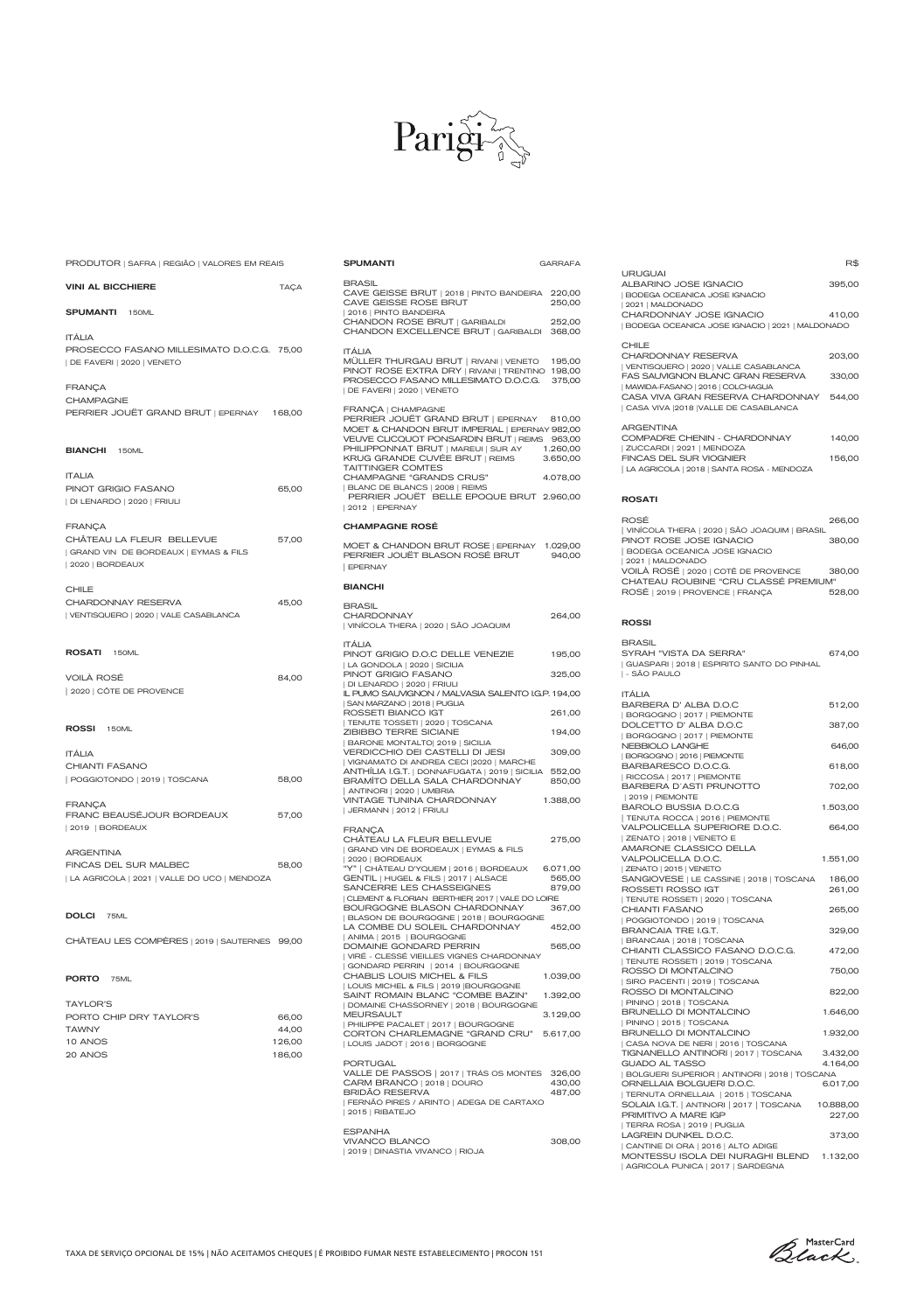

SPUMANTI GARRAFA

TAXA DE SERVIÇO OPCIONAL DE 15% | NÃO ACEITAMOS CHEQUES | É PROIBIDO FUMAR NESTE ESTABELECIMENTO | PROCON 151

66,00 44,00 126,00 186,00

| <b>PORTO</b> 75ML                        |  |
|------------------------------------------|--|
| TAYLOR'S                                 |  |
| PORTO CHIP DRY TAYI OR'S<br><b>TAWNY</b> |  |
| 10 ANOS<br>20 ANOS                       |  |

| PRODUTOR   SAFRA   REGIÃO   VALORES EM REAIS                                                              |        |
|-----------------------------------------------------------------------------------------------------------|--------|
| <b>VINI AL BICCHIERE</b>                                                                                  | TAÇA   |
| <b>SPUMANTI</b> 150ML                                                                                     |        |
| <b>ITÁLIA</b><br>PROSECCO FASANO MILLESIMATO D.O.C.G. 75,00<br>  DE FAVERI   2020   VENETO                |        |
| FRANÇA<br><b>CHAMPAGNE</b><br>PERRIER JOUËT GRAND BRUT   EPERNAY                                          | 168,00 |
| <b>BIANCHI</b> 150ML                                                                                      |        |
| <b>ITALIA</b><br>PINOT GRIGIO FASANO<br>  DI LENARDO   2020   FRIULI                                      | 65,00  |
| <b>FRANCA</b><br>CHÂTEAU LA FLEUR BELLEVUE<br>  GRAND VIN DE BORDEAUX   EYMAS & FILS<br>  2020   BORDEAUX | 57,00  |
| <b>CHILE</b><br>CHARDONNAY RESERVA<br>  VENTISQUERO   2020   VALE CASABLANCA                              | 45,00  |
| ROSATI 150ML<br>VOILÀ ROSÉ<br>2020   CÔTE DE PROVENCE                                                     | 84,00  |
| ROSSI 150ML                                                                                               |        |
| <b>ITÁLIA</b><br>CHIANTI FASANO<br>POGGIOTONDO   2019   TOSCANA                                           | 58,00  |
| <b>FRANCA</b><br>FRANC BEAUSÉJOUR BORDEAUX<br>  2019   BORDEAUX                                           | 57,00  |
| <b>ARGENTINA</b><br>FINCAS DEL SUR MALBEC<br>  LA AGRICOLA   2021   VALLE DO UCO   MENDOZA                | 58,00  |
| <b>DOLCI</b> 75ML                                                                                         |        |

CHÂTEAU LES COMPÈRES | 2019 | SAUTERNES 99,00

BRASIL

| CAVE GEISSE BRUT   2018   PINTO BANDEIRA<br>CAVE GEISSE ROSE BRUT<br>  2016   PINTO BANDEIRA                                                                                                                                                                                                                                                                                           | 220,00<br>250,00                                     |
|----------------------------------------------------------------------------------------------------------------------------------------------------------------------------------------------------------------------------------------------------------------------------------------------------------------------------------------------------------------------------------------|------------------------------------------------------|
| CHANDON ROSE BRUT   GARIBALDI<br>CHANDON EXCELLENCE BRUT   GARIBALDI                                                                                                                                                                                                                                                                                                                   | 252,00<br>368,00                                     |
| <b>ITÁLIA</b><br>MÜLLER THURGAU BRUT   RIVANI   VENETO<br>PINOT ROSE EXTRA DRY   RIVANI   TRENTINO<br>PROSECCO FASANO MILLESIMATO D.O.C.G.<br>  DE FAVERI   2020   VENETO                                                                                                                                                                                                              | 195,00<br>198,00<br>375,00                           |
| FRANÇA   CHAMPAGNE<br>PERRIER JOUËT GRAND BRUT   EPERNAY<br>MOET & CHANDON BRUT IMPERIAL   EPERNAY 982,00<br>VEUVE CLICQUOT PONSARDIN BRUT   REIMS<br>PHILIPPONNAT BRUT   MAREUI   SUR AY<br>KRUG GRANDE CUVÉE BRUT   REIMS<br><b>TAITTINGER COMTES</b><br>CHAMPAGNE "GRANDS CRUS"<br>  BLANC DE BLANCS   2008   REIMS<br>PERRIER JOUËT BELLE EPOQUE BRUT 2.960,00<br>  2012   EPERNAY | 810,00<br>963,00<br>1.260,00<br>3.650,00<br>4.078,00 |
| <b>CHAMPAGNE ROSÉ</b>                                                                                                                                                                                                                                                                                                                                                                  |                                                      |
| MOET & CHANDON BRUT ROSE   EPERNAY<br>PERRIER JOUËT BLASON ROSÉ BRUT<br><b>EPERNAY</b>                                                                                                                                                                                                                                                                                                 | 1.029,00<br>940,00                                   |
| <b>BIANCHI</b>                                                                                                                                                                                                                                                                                                                                                                         |                                                      |
| <b>BRASIL</b><br><b>CHARDONNAY</b><br>  VINÍCOLA THERA   2020   SÃO JOAQUIM                                                                                                                                                                                                                                                                                                            | 264,00                                               |
| <b>ITÁLIA</b><br>PINOT GRIGIO D.O.C DELLE VENEZIE                                                                                                                                                                                                                                                                                                                                      | 195,00                                               |
| LA GONDOLA   2020   SICILIA<br>PINOT GRIGIO FASANO                                                                                                                                                                                                                                                                                                                                     | 325,00                                               |
| DI LENARDO   2020   FRIULI<br>IL PUMO SAUVIGNON / MALVASIA SALENTO I.G.P. 194,00                                                                                                                                                                                                                                                                                                       |                                                      |
| SAN MARZANO   2018   PUGLIA<br>ROSSETI BIANCO IGT                                                                                                                                                                                                                                                                                                                                      | 261,00                                               |
| TENUTE TOSSETI   2020   TOSCANA<br>ZIBIBBO TERRE SICIANE<br>  BARONE MONTALTO  2019   SICILIA                                                                                                                                                                                                                                                                                          | 194,00                                               |
| VERDICCHIO DEI CASTELLI DI JESI<br>  VIGNAMATO DI ANDREA CECI   2020   MARCHE                                                                                                                                                                                                                                                                                                          | 309,00                                               |
| ANTHÍLIA I.G.T.   DONNAFUGATA   2019   SICILIA<br><b>BRAMITO DELLA SALA CHARDONNAY</b>                                                                                                                                                                                                                                                                                                 | 552,00<br>850,00                                     |
| ANTINORI   2020   UMBRIA<br><b>VINTAGE TUNINA CHARDONNAY</b><br>  JERMANN   2012   FRIULI                                                                                                                                                                                                                                                                                              | 1.388,00                                             |
| <b>FRANÇA</b><br>CHÂTEAU LA FLEUR BELLEVUE<br>  GRAND VIN DE BORDEAUX   EYMAS & FILS<br>  2020   BORDEAUX                                                                                                                                                                                                                                                                              | 275,00                                               |
|                                                                                                                                                                                                                                                                                                                                                                                        |                                                      |
| "Y"   CHÂTEAU D'YQUEM   2016   BORDEAUX                                                                                                                                                                                                                                                                                                                                                | 6.071,00                                             |
| GENTIL   HUGEL & FILS   2017   ALSACE<br>SANCERRE LES CHASSEIGNES                                                                                                                                                                                                                                                                                                                      | 565,00<br>879,00                                     |
| CLEMENT & FLORIAN BERTHIER  2017   VALE DO LOIRE<br>BOURGOGNE BLASON CHARDONNAY<br>  BLASON DE BOURGOGNE   2018   BOURGOGNE                                                                                                                                                                                                                                                            | 367,00                                               |

| ANIMA | 2015 | BOURGOGNE

| DOMAINE GONDARD PERRIN                   | 565,00   |
|------------------------------------------|----------|
| VIRÉ - CLESSÉ VIEILLES VIGNES CHARDONNAY |          |
| GONDARD PERRIN   2014   BOURGOGNE        |          |
| CHABLIS LOUIS MICHEL & FILS              | 1.039,00 |
| LOUIS MICHEL & FILS   2019  BOURGOGNE    |          |
| SAINT ROMAIN BLANC "COMBE BAZIN"         | 1.392,00 |
| DOMAINE CHASSORNEY   2018   BOURGOGNE    |          |
| <b>MEURSAULT</b>                         | 3.129,00 |
| PHILIPPE PACALET   2017   BOURGOGNE      |          |
| CORTON CHARI FMAGNE "GRAND CRU"          | 5.617,00 |
| LOUIS JADOT   2016   BORGOGNE            |          |
|                                          |          |
| PORTUGAL                                 |          |
| VALLE DE PASSOS   2017   TRÁS OS MONTES  | 326,00   |
| CARM BRANCO   2018   DOURO               | 430,00   |
| BRIDÃO RESERVA                           | 487.00   |
| FERNÃO PIRES / ARINTO   ADEGA DE CARTAXO |          |
| 2015   RIBATEJO                          |          |
|                                          |          |
| <b>ESPANHA</b>                           |          |
| <b>VIVANCO BLANCO</b>                    | 308,00   |
| 2019   DINASTIA VIVANCO   RIOJA          |          |

R\$

URUGUAI

| BODEGA OCEANICA JOSE IGNACIO

| 2021 | MALDONADO

CHARDONNAY JOSE IGNACIO 410,00

| BODEGA OCEANICA JOSE IGNACIO   2021   MALDONADO |        |
|-------------------------------------------------|--------|
| CHILE                                           |        |
| CHARDONNAY RESERVA                              | 203,00 |
| VENTISQUERO   2020   VALLE CASABLANCA           |        |
| <b>FAS SAUVIGNON BLANC GRAN RESERVA</b>         | 330,00 |
| MAWIDA-FASANO   2016   COLCHAGUA                |        |
| CASA VIVA GRAN RESERVA CHARDONNAY               | 544.00 |
| CASA VIVA   2018   VALLE DE CASABLANCA          |        |
| <b>ARGENTINA</b>                                |        |
| COMPADRE CHENIN - CHARDONNAY                    | 140.00 |
| ZUCCARDI   2021   MENDOZA                       |        |
| <b>FINCAS DEL SUR VIOGNIER</b>                  | 156.00 |
| LA AGRICOLA   2018   SANTA ROSA - MENDOZA       |        |
|                                                 |        |

ALBARINO JOSE IGNACIO 395,00

#### ROSATI

| ROSÉ                                         | 266.00 |
|----------------------------------------------|--------|
| VINÍCOLA THERA   2020   SÃO JOAQUIM   BRASIL |        |
| PINOT ROSE JOSE IGNACIO                      | 380.00 |
| <b>BODEGA OCEANICA JOSE IGNACIO</b>          |        |
| 2021   MALDONADO                             |        |
| VOILÀ ROSÉ   2020   COTÊ DE PROVENCE         | 380.00 |
| CHATEAU ROUBINE "CRU CLASSÉ PREMIUM"         |        |
| ROSÉ   2019   PROVENCE   FRANÇA              | 528.00 |

#### ROSSI

| BRASIL                                                      |        |
|-------------------------------------------------------------|--------|
| SYRAH "VISTA DA SERRA"                                      | 674.00 |
| GUASPARI   2018   ESPIRITO SANTO DO PINHAL<br>I - SÃO PAULO |        |

| <b>ITÁLIA</b>                            |          |
|------------------------------------------|----------|
| BARBERA D'AIBA DOC                       | 512,00   |
| BORGOGNO   2017   PIEMONTE               |          |
| DOI CETTO D'AI BA DO C                   | 387,00   |
| BORGOGNO   2017   PIEMONTE               |          |
| NEBBIOLO LANGHE                          | 646,00   |
| BORGOGNO   2016   PIEMONTE               |          |
| BARBARESCO DOCG                          | 618,00   |
| RICCOSA   2017   PIEMONTE                |          |
| BARBERA D'ASTI PRUNOTTO                  | 702,00   |
| 2019   PIEMONTE                          |          |
| BAROLO BUSSIA D.O.C.G                    | 1.503,00 |
| TENUTA ROCCA   2016   PIEMONTE           |          |
| VALPOLICELLA SUPERIORE D.O.C.            | 664,00   |
| ZENATO   2018   VENETO E                 |          |
| AMARONE CLASSICO DELLA                   |          |
| VALPOLICELLA D.O.C.                      | 1.551,00 |
| ZENATO   2015   VENETO                   |          |
| SANGIOVESE   LE CASSINE   2018   TOSCANA | 186,00   |
| ROSSETI ROSSO IGT                        | 261,00   |
| TENUTE ROSSETI   2020   TOSCANA          |          |
| CHIANTI FASANO                           | 265,00   |
| POGGIOTONDO   2019   TOSCANA             |          |
| BRANCAIA TRE IGT                         | 329,00   |
| BRANCAIA   2018   TOSCANA                |          |

| CHIANTI CLASSICO FASANO D.O.C.G.              | 472,00    |
|-----------------------------------------------|-----------|
| TENUTE ROSSETI   2019   TOSCANA               |           |
| ROSSO DI MONTALCINO                           | 750,00    |
| SIRO PACENTI   2019   TOSCANA                 |           |
| ROSSO DI MONTALCINO                           | 822,00    |
| PININO   2018   TOSCANA                       |           |
| <b>BRUNELLO DI MONTALCINO</b>                 | 1.646,00  |
| PININO   2015   TOSCANA                       |           |
| <b>BRUNELLO DI MONTALCINO</b>                 | 1.932,00  |
| CASA NOVA DE NERI   2016   TOSCANA            |           |
| TIGNANELLO ANTINORI   2017   TOSCANA          | 3.432,00  |
| <b>GUADO AL TASSO</b>                         | 4.164,00  |
| BOLGUERI SUPERIOR   ANTINORI   2018   TOSCANA |           |
| ORNELLAIA BOLGUERI D.O.C.                     | 6.017,00  |
| TERNUTA ORNELLAIA   2015   TOSCANA            |           |
| SOLAIA I.G.T.   ANTINORI   2017   TOSCANA     | 10.888,00 |
| PRIMITIVO A MARE IGP                          | 227,00    |
| TERRA ROSA   2019   PUGLIA                    |           |
| <b>LAGREIN DUNKEL D.O.C.</b>                  | 373,00    |
| CANTINE DI ORA   2016   ALTO ADIGE            |           |
| MONTESSU ISOLA DEI NURAGHI BLEND              | 1.132,00  |
| AGRICOLA PUNICA   2017   SARDEGNA             |           |

Black